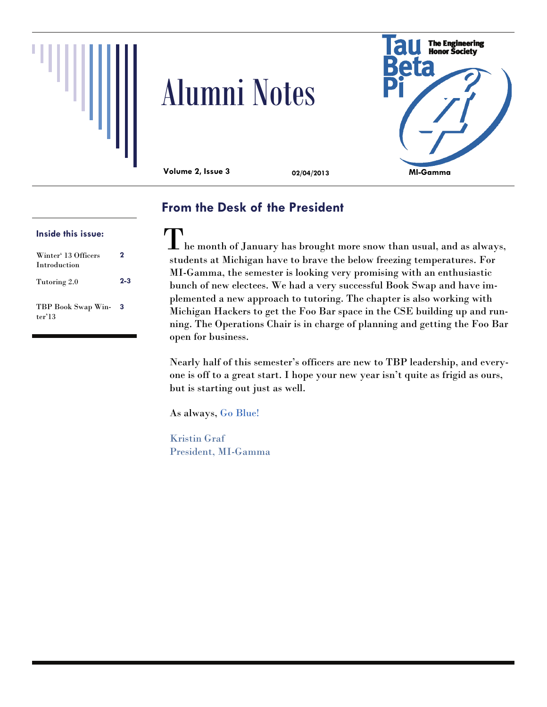





**Volume 2, Issue 3 02/04/2013** 

# **From the Desk of the President**

### **Inside this issue:**

| Winter' 13 Officers<br><b>Introduction</b> | 2       |
|--------------------------------------------|---------|
| Tutoring 2.0                               | $2 - 3$ |
| TBP Book Swap Win-<br>ter'13               | 3       |

 $\prod$  he month of January has brought more snow than usual, and as always, students at Michigan have to brave the below freezing temperatures. For MI-Gamma, the semester is looking very promising with an enthusiastic bunch of new electees. We had a very successful Book Swap and have implemented a new approach to tutoring. The chapter is also working with Michigan Hackers to get the Foo Bar space in the CSE building up and running. The Operations Chair is in charge of planning and getting the Foo Bar open for business.

Nearly half of this semester's officers are new to TBP leadership, and everyone is off to a great start. I hope your new year isn't quite as frigid as ours, but is starting out just as well.

As always, Go Blue!

Kristin Graf President, MI-Gamma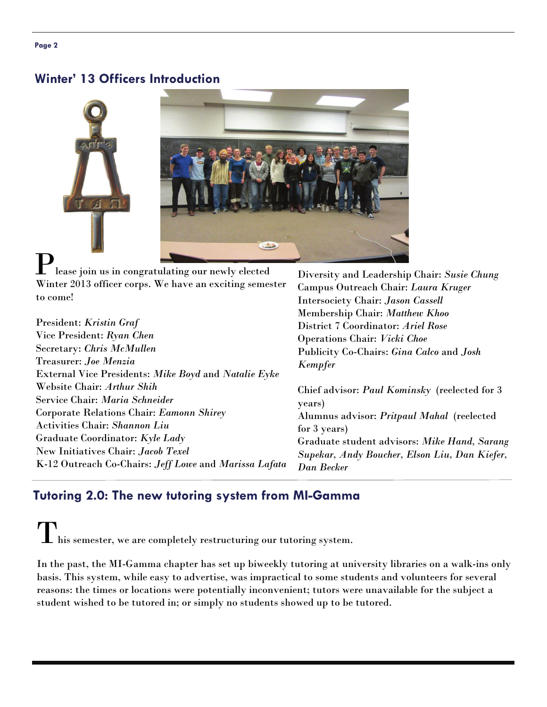#### **Page 2**

### **Winter' 13 Officers Introduction**



lease join us in congratulating our newly elected Winter 2013 officer corps. We have an exciting semester to come!

President: *Kristin Graf* Vice President: *Ryan Chen* Secretary: *Chris McMullen* Treasurer: *Joe Menzia* External Vice Presidents: *Mike Boyd* and *Natalie Eyke* Website Chair: *Arthur Shih* Service Chair: *Maria Schneider* Corporate Relations Chair: *Eamonn Shirey* Activities Chair: *Shannon Liu* Graduate Coordinator: *Kyle Lady* New Initiatives Chair: *Jacob Texel* K-12 Outreach Co-Chairs: *Jeff Lowe* and *Marissa Lafata* Diversity and Leadership Chair: *Susie Chung* Campus Outreach Chair: *Laura Kruger* Intersociety Chair: *Jason Cassell* Membership Chair: *Matthew Khoo* District 7 Coordinator: *Ariel Rose* Operations Chair: *Vicki Choe* Publicity Co-Chairs: *Gina Calco* and *Josh Kempfer* 

Chief advisor: *Paul Kominsky* (reelected for 3 years) Alumnus advisor: *Pritpaul Mahal* (reelected for 3 years) Graduate student advisors: *Mike Hand, Sarang Supekar, Andy Boucher, Elson Liu, Dan Kiefer, Dan Becker* 

## **Tutoring 2.0: The new tutoring system from MI-Gamma**

 $\perp$  his semester, we are completely restructuring our tutoring system.

In the past, the MI-Gamma chapter has set up biweekly tutoring at university libraries on a walk-ins only basis. This system, while easy to advertise, was impractical to some students and volunteers for several reasons: the times or locations were potentially inconvenient; tutors were unavailable for the subject a student wished to be tutored in; or simply no students showed up to be tutored.